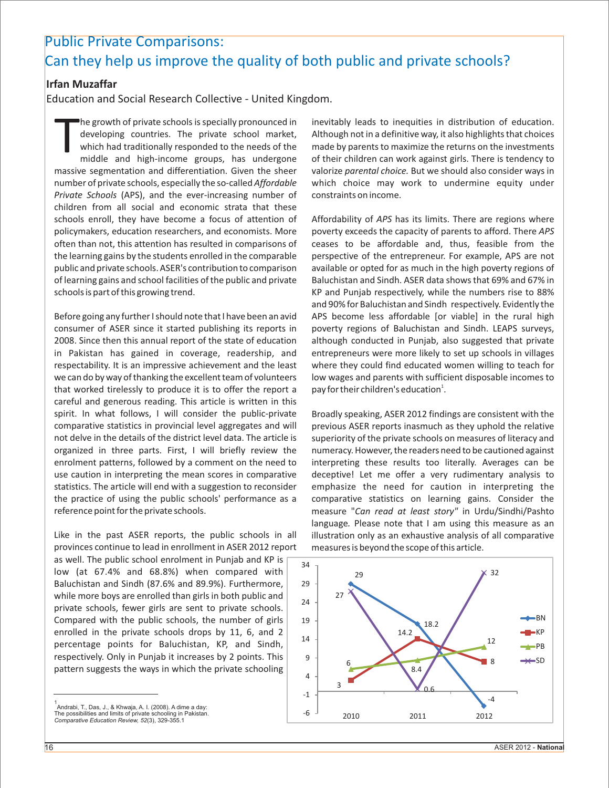## Public Private Comparisons: Can they help us improve the quality of both public and private schools?

## **Irfan Muzaffar**

Education and Social Research Collective - United Kingdom.

The growth of private schools is specially pronounced in inevitably leads to inequities in distribution of education.<br>developing countries. The private school market, Although not in a definitive way, it also highlights th massive segmentation and differentiation. Given the sheer valorize *parental choice.* But we should also consider ways in number of private schools, especially the so-called *Affordable* which choice may work to undermine equity under *Private Schools* (APS), and the ever-increasing number of constraints on income. children from all social and economic strata that these schools enroll, they have become a focus of attention of Affordability of *APS* has its limits. There are regions where policymakers, education researchers, and economists. More poverty exceeds the capacity of parents to afford. There *APS*  often than not, this attention has resulted in comparisons of ceases to be affordable and, thus, feasible from the the learning gains by the students enrolled in the comparable perspective of the entrepreneur. For example, APS are not public and private schools. ASER's contribution to comparison available or opted for as much in the high poverty regions of of learning gains and school facilities of the public and private Baluchistan and Sindh. ASER data shows that 69% and 67% in schools is part of this growing trend. The state of the state of this growing trend. The state of the numbers rise to 88%

consumer of ASER since it started publishing its reports in poverty regions of Baluchistan and Sindh. LEAPS surveys, 2008. Since then this annual report of the state of education although conducted in Punjab, also suggested that private in Pakistan has gained in coverage, readership, and entrepreneurs were more likely to set up schools in villages respectability. It is an impressive achievement and the least where they could find educated women willing to teach for we can do by way of thanking the excellent team of volunteers low wages and parents with sufficient disposable incomes to that worked tirelessly to produce it is to offer the report a careful and generous reading. This article is written in this spirit. In what follows, I will consider the public-private Broadly speaking, ASER 2012 findings are consistent with the comparative statistics in provincial level aggregates and will previous ASER reports inasmuch as they uphold the relative not delve in the details of the district level data. The article is superiority of the private schools on measures of literacy and organized in three parts. First, I will briefly review the numeracy. However, the readers need to be cautioned against enrolment patterns, followed by a comment on the need to interpreting these results too literally. Averages can be use caution in interpreting the mean scores in comparative deceptive! Let me offer a very rudimentary analysis to statistics. The article will end with a suggestion to reconsider emphasize the need for caution in interpreting the the practice of using the public schools' performance as a comparative statistics on learning gains. Consider the reference point for the private schools. measure "*Can read at least story"* in Urdu/Sindhi/Pashto

provinces continue to lead in enrollment in ASER 2012 report measures is beyond the scope of this article. as well. The public school enrolment in Punjab and KP is low (at 67.4% and 68.8%) when compared with Baluchistan and Sindh (87.6% and 89.9%). Furthermore, while more boys are enrolled than girls in both public and private schools, fewer girls are sent to private schools. Compared with the public schools, the number of girls enrolled in the private schools drops by 11, 6, and 2

percentage points for Baluchistan, KP, and Sindh, respectively. Only in Punjab it increases by 2 points. This pattern suggests the ways in which the private schooling

he growth of private schools is specially pronounced in inevitably leads to inequities in distribution of education. middle and high-income groups, has undergone of their children can work against girls. There is tendency to

and 90% for Baluchistan and Sindh respectively. Evidently the Before going any further I should note that I have been an avid APS become less affordable [or viable] in the rural high pay for their children's education<sup>1</sup>.

language*.* Please note that I am using this measure as an Like in the past ASER reports, the public schools in all illustration only as an exhaustive analysis of all comparative



<sup>1</sup> Andrabi, T., Das, J., & Khwaja, A. I. (2008). A dime a day: The possibilities and limits of private schooling in Pakistan. *Comparative Education Review, 52*(3), 329-355.1